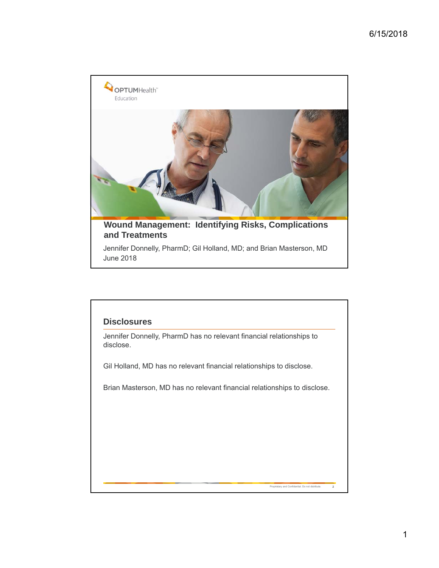

## **Disclosures**

Jennifer Donnelly, PharmD has no relevant financial relationships to disclose.

Gil Holland, MD has no relevant financial relationships to disclose.

Brian Masterson, MD has no relevant financial relationships to disclose.

Proprietary and Confidential. Do not distribute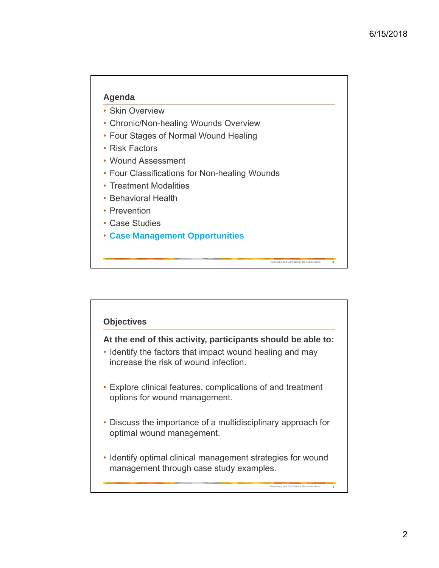## **Agenda**

- Skin Overview
- Chronic/Non-healing Wounds Overview
- Four Stages of Normal Wound Healing
- Risk Factors
- Wound Assessment
- Four Classifications for Non-healing Wounds
- Treatment Modalities
- Behavioral Health
- Prevention
- Case Studies
- **Case Management Opportunities**



Proprietary and Confidential. Do not distribute. **3**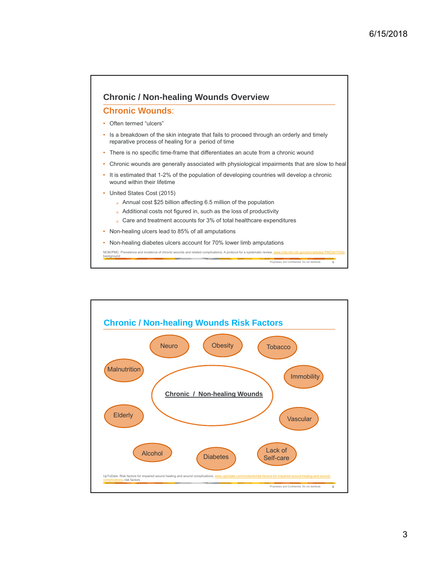

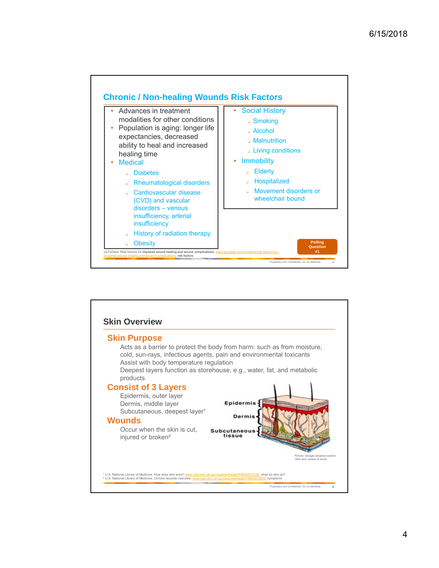

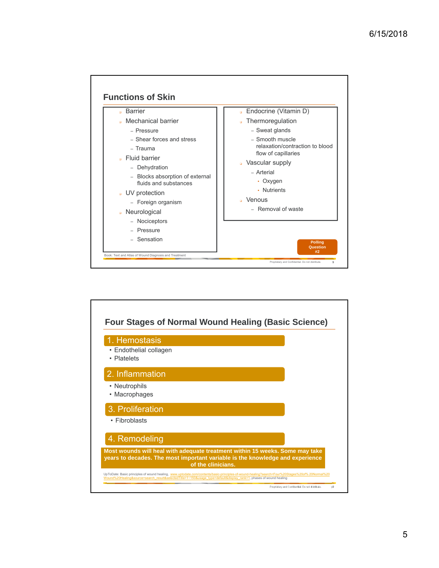

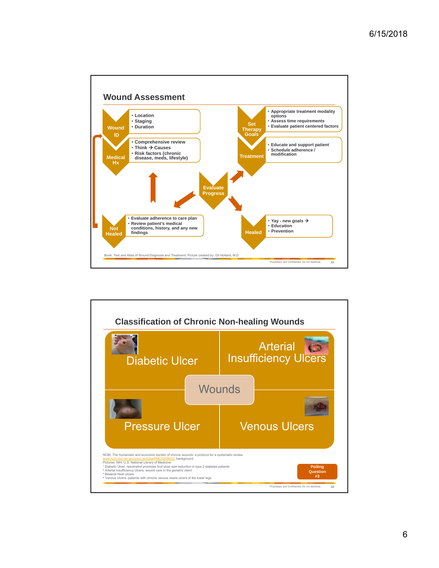

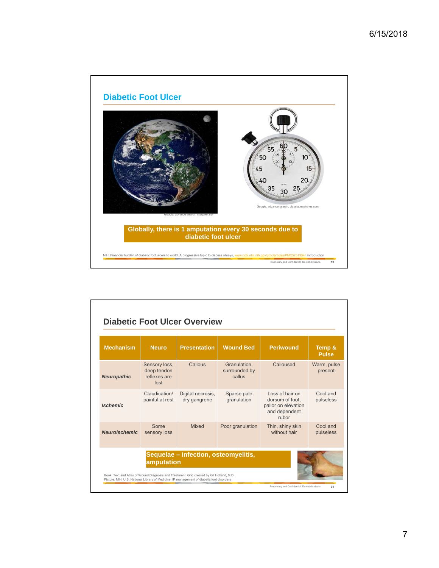

| <b>Mechanism</b>     | <b>Neuro</b>                                         | <b>Presentation</b>               | <b>Wound Bed</b>                        | <b>Periwound</b>                                                                    | Temp &<br><b>Pulse</b> |
|----------------------|------------------------------------------------------|-----------------------------------|-----------------------------------------|-------------------------------------------------------------------------------------|------------------------|
| <b>Neuropathic</b>   | Sensory loss,<br>deep tendon<br>reflexes are<br>lost | Callous                           | Granulation.<br>surrounded by<br>callus | Calloused                                                                           | Warm, pulse<br>present |
| <b>Ischemic</b>      | Claudication/<br>painful at rest                     | Digital necrosis,<br>dry gangrene | Sparse pale<br>granulation              | Loss of hair on<br>dorsum of foot.<br>pallor on elevation<br>and dependent<br>rubor | Cool and<br>pulseless  |
| <b>Neuroischemic</b> | Some<br>sensory loss                                 | Mixed                             | Poor granulation                        | Thin, shiny skin<br>without hair                                                    | Cool and<br>pulseless  |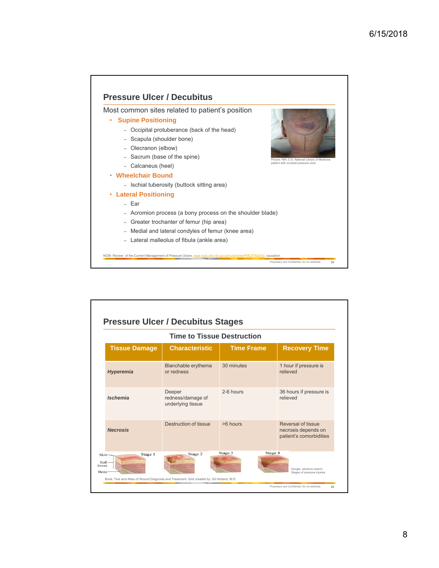

| <b>Time to Tissue Destruction</b>           |                                                  |                    |                                                                      |  |  |
|---------------------------------------------|--------------------------------------------------|--------------------|----------------------------------------------------------------------|--|--|
| <b>Tissue Damage</b>                        | <b>Characteristic</b>                            | <b>Time Frame</b>  | <b>Recovery Time</b>                                                 |  |  |
| Hyperemia                                   | Blanchable erythema<br>or redness                | 30 minutes         | 1 hour if pressure is<br>relieved                                    |  |  |
| <b>Ischemia</b>                             | Deeper<br>redness/damage of<br>underlying tissue | 2-6 hours          | 36 hours if pressure is<br>relieved                                  |  |  |
| <b>Necrosis</b>                             | Destruction of tissue                            | $>6$ hours         | Reversal of tissue<br>necrosis depends on<br>patient's comorbidities |  |  |
| Stage 1<br>Skin-<br>Soft-<br>tissue<br>Bone | Stage 2                                          | Stage 3<br>Stage 4 | Google, advance search,<br>Stages of pressure injuries               |  |  |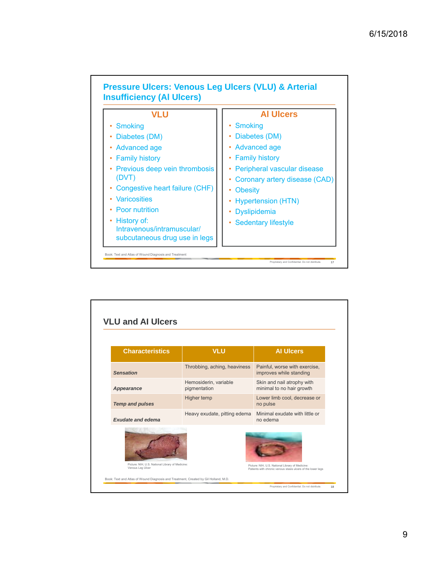

| <b>Characteristics</b>                           | <b>VLU</b>                            | <b>Al Ulcers</b>                                         |
|--------------------------------------------------|---------------------------------------|----------------------------------------------------------|
| <b>Sensation</b>                                 | Throbbing, aching, heaviness          | Painful, worse with exercise,<br>improves while standing |
| Appearance                                       | Hemosiderin, variable<br>pigmentation | Skin and nail atrophy with<br>minimal to no hair growth  |
| <b>Temp and pulses</b>                           | Higher temp                           | Lower limb cool, decrease or<br>no pulse                 |
| Exudate and edema                                | Heavy exudate, pitting edema          | Minimal exudate with little or<br>no edema               |
| Picture: NIH, U.S. National Library of Medicine: |                                       | Picture: NIH, U.S. National Library of Medicine:         |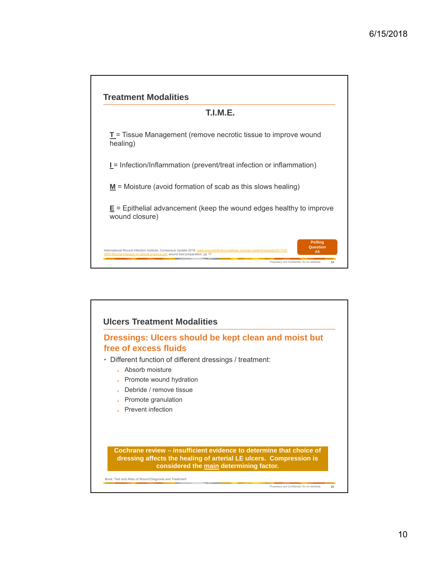

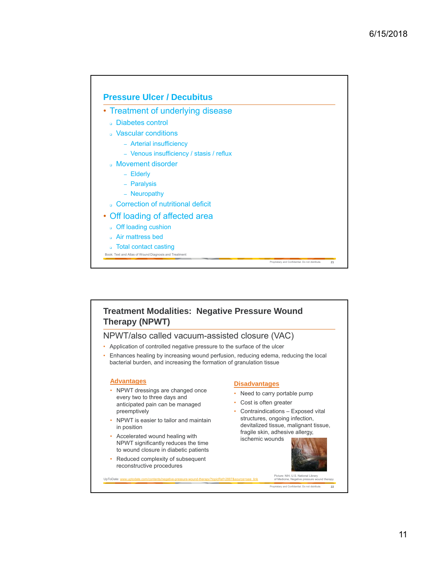

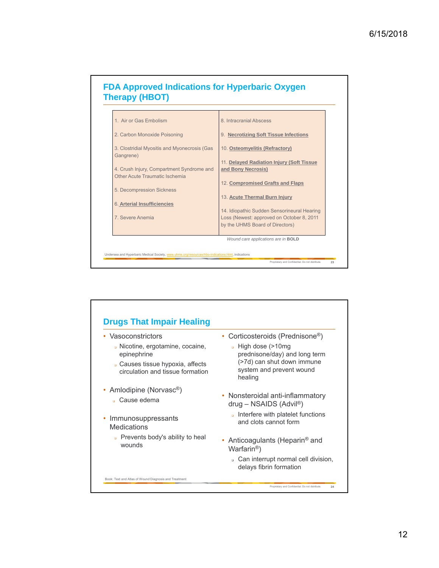



Undersea and Hyperbaric Medical Society, www.uhms.org/resources/hbo-indications.html, indications

*Wound care applications are in* **BOLD**

Proprietary and Confidential. Do not distribute. **23**

Proprietary and Confidential. Do not distribute. **24** • Vasoconstrictors **Nicotine, ergotamine, cocaine,** epinephrine Causes tissue hypoxia, affects circulation and tissue formation • Amlodipine (Norvasc<sup>®</sup>) Cause edema • Immunosuppressants **Medications Prevents body's ability to heal** wounds • Corticosteroids (Prednisone®) High dose (>10mg prednisone/day) and long term (>7d) can shut down immune system and prevent wound healing • Nonsteroidal anti-inflammatory drug – NSAIDS (Advil®) **Interfere with platelet functions** and clots cannot form • Anticoagulants (Heparin<sup>®</sup> and Warfarin®) Can interrupt normal cell division, delays fibrin formation **Drugs That Impair Healing** Book: Text and Atlas of Wound Diagnosis and Treatment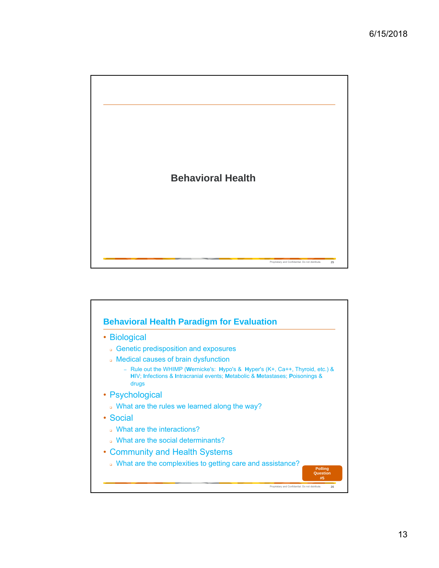

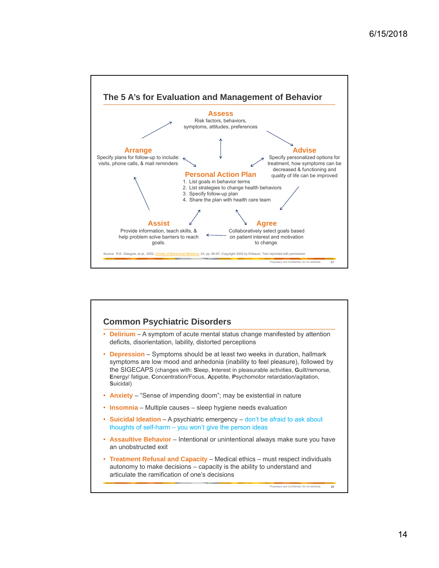

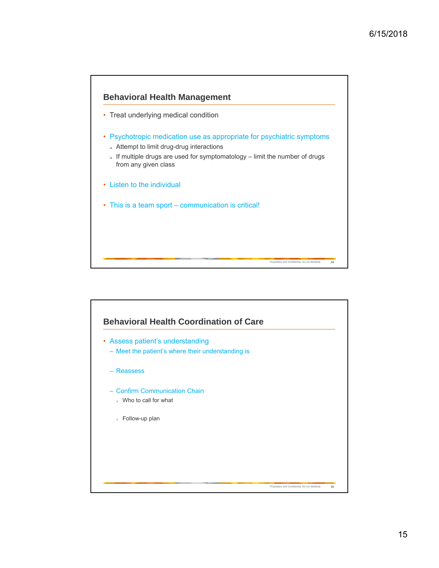

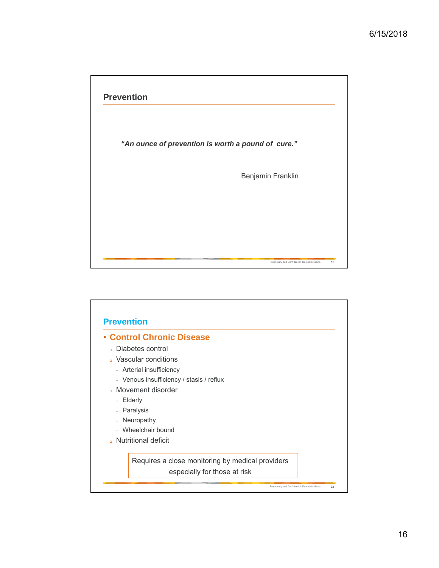

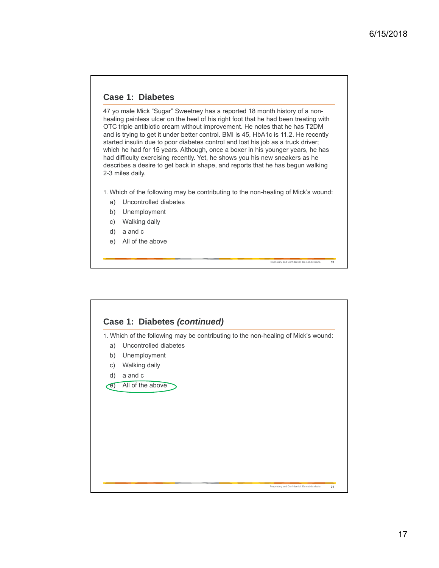### **Case 1: Diabetes**

47 yo male Mick "Sugar" Sweetney has a reported 18 month history of a nonhealing painless ulcer on the heel of his right foot that he had been treating with OTC triple antibiotic cream without improvement. He notes that he has T2DM and is trying to get it under better control. BMI is 45, HbA1c is 11.2. He recently started insulin due to poor diabetes control and lost his job as a truck driver; which he had for 15 years. Although, once a boxer in his younger years, he has had difficulty exercising recently. Yet, he shows you his new sneakers as he describes a desire to get back in shape, and reports that he has begun walking 2-3 miles daily.

1. Which of the following may be contributing to the non-healing of Mick's wound:

Proprietary and Confidential. Do not distribute. **33**

- a) Uncontrolled diabetes
- b) Unemployment
- c) Walking daily
- d) a and c
- e) All of the above

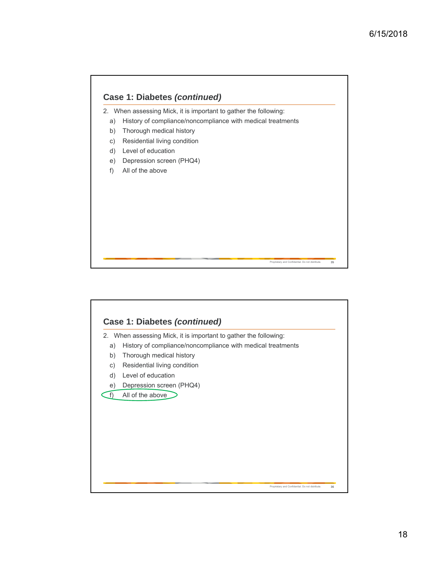

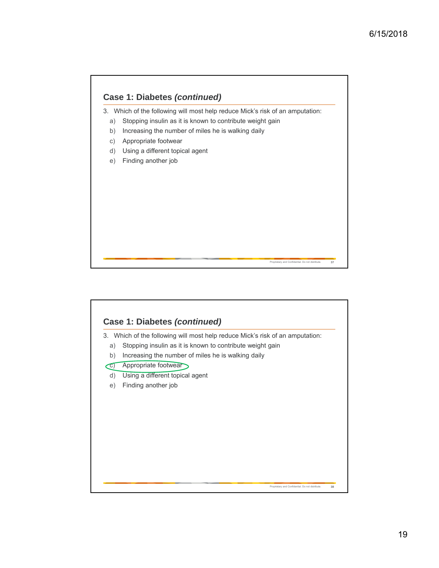

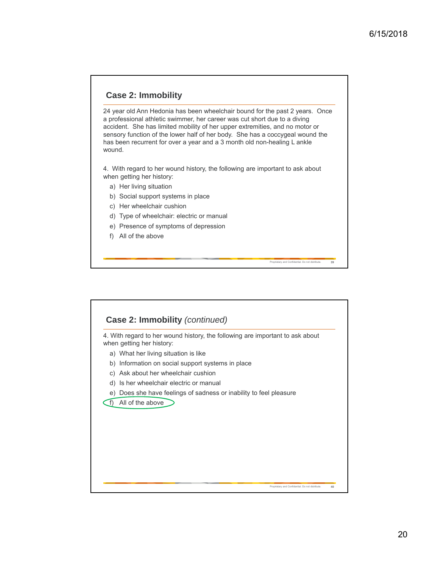### **Case 2: Immobility**

24 year old Ann Hedonia has been wheelchair bound for the past 2 years. Once a professional athletic swimmer, her career was cut short due to a diving accident. She has limited mobility of her upper extremities, and no motor or sensory function of the lower half of her body. She has a coccygeal wound the has been recurrent for over a year and a 3 month old non-healing L ankle wound.

4. With regard to her wound history, the following are important to ask about when getting her history:

Proprietary and Confidential. Do not distribute. **39**

- a) Her living situation
- b) Social support systems in place
- c) Her wheelchair cushion
- d) Type of wheelchair: electric or manual
- e) Presence of symptoms of depression
- f) All of the above

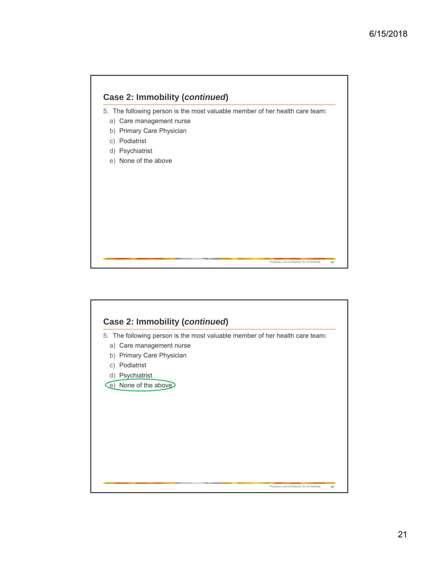

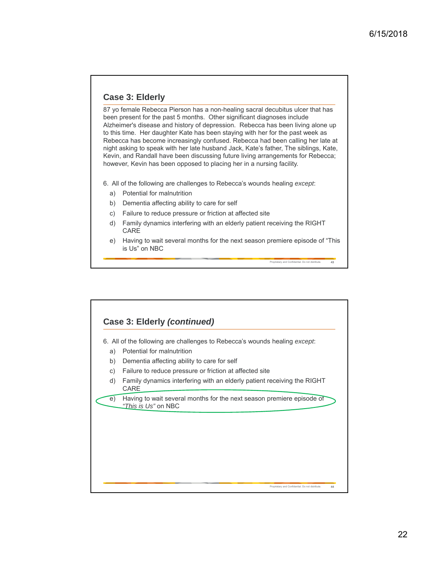### **Case 3: Elderly**

87 yo female Rebecca Pierson has a non-healing sacral decubitus ulcer that has been present for the past 5 months. Other significant diagnoses include Alzheimer's disease and history of depression. Rebecca has been living alone up to this time. Her daughter Kate has been staying with her for the past week as Rebecca has become increasingly confused. Rebecca had been calling her late at night asking to speak with her late husband Jack, Kate's father, The siblings, Kate, Kevin, and Randall have been discussing future living arrangements for Rebecca; however, Kevin has been opposed to placing her in a nursing facility.

- 6. All of the following are challenges to Rebecca's wounds healing *except*:
	- a) Potential for malnutrition
	- b) Dementia affecting ability to care for self
	- c) Failure to reduce pressure or friction at affected site
	- d) Family dynamics interfering with an elderly patient receiving the RIGHT CARE
	- e) Having to wait several months for the next season premiere episode of "This is Us" on NBC

Proprietary and Confidential. Do not distribute. **43**

Proprietary and Confidential. Do not distribute. **44** 6. All of the following are challenges to Rebecca's wounds healing *except*: a) Potential for malnutrition b) Dementia affecting ability to care for self c) Failure to reduce pressure or friction at affected site d) Family dynamics interfering with an elderly patient receiving the RIGHT CARE e) Having to wait several months for the next season premiere episode of *"This is Us"* on NBC **Case 3: Elderly** *(continued)*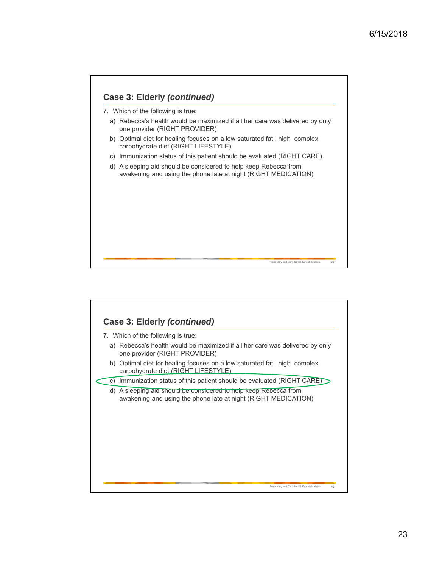

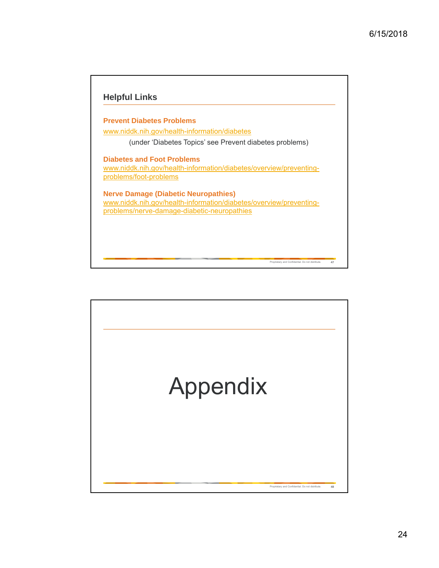

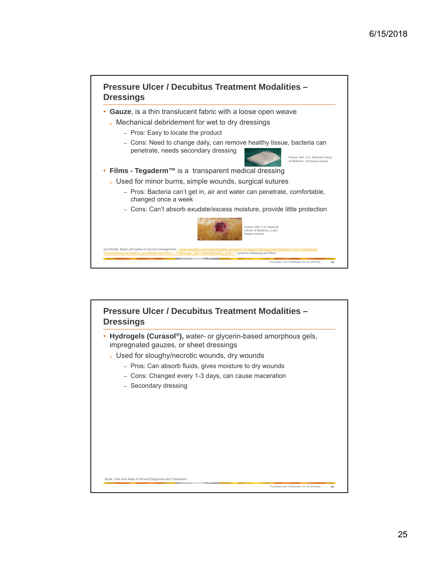

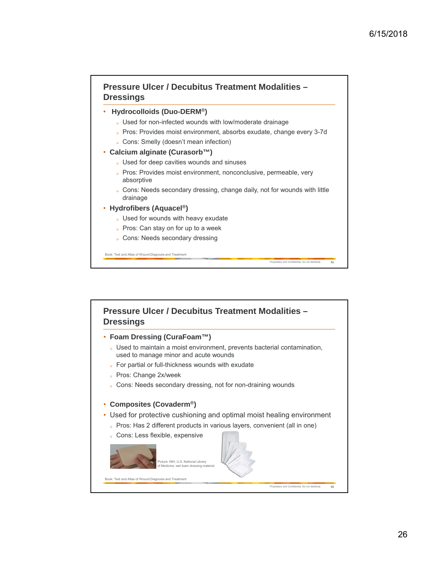## **Pressure Ulcer / Decubitus Treatment Modalities – Dressings**

#### • **Hydrocolloids (Duo-DERM®)**

- Dused for non-infected wounds with low/moderate drainage
- Pros: Provides moist environment, absorbs exudate, change every 3-7d
- Cons: Smelly (doesn't mean infection)
- **Calcium alginate (Curasorb™)**
	- **J** Used for deep cavities wounds and sinuses
	- **Pros: Provides moist environment, nonconclusive, permeable, very** absorptive
	- Cons: Needs secondary dressing, change daily, not for wounds with little drainage

Proprietary and Confidential. Do not distribute. **51**

Proprietary and Confidential. Do not distribute. **52**

- **Hydrofibers (Aquacel®)**
	- **J** Used for wounds with heavy exudate
	- Pros: Can stay on for up to a week
	- **Cons: Needs secondary dressing**

Book: Text and Atlas of Wound Diagnosis and Treatment

# **Pressure Ulcer / Decubitus Treatment Modalities – Dressings** • **Foam Dressing (CuraFoam™)** Used to maintain a moist environment, prevents bacterial contamination, used to manage minor and acute wounds **Propertial or full-thickness wounds with exudate Pros: Change 2x/week** Cons: Needs secondary dressing, not for non-draining wounds • **Composites (Covaderm®)** • Used for protective cushioning and optimal moist healing environment Pros: Has 2 different products in various layers, convenient (all in one) **Cons: Less flexible, expensive** : NIH, U.S. National Librar of Medicine, wet foam dressing material Book: Text and Atlas of Wound Diagnosis and Treatment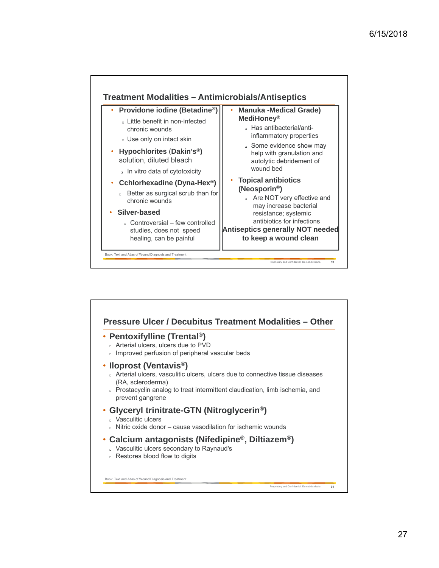

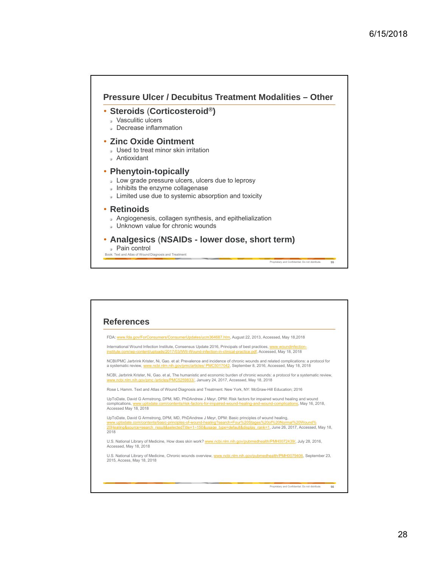

| FDA: www.fda.gov/ForConsumers/ConsumerUpdates/ucm364687.htm, August 22, 2013, Accessed, May 18,2018                                                                                                                                                                                                                                          |
|----------------------------------------------------------------------------------------------------------------------------------------------------------------------------------------------------------------------------------------------------------------------------------------------------------------------------------------------|
| International Wound Infection Institute, Consensus Update 2016, Principals of best practices, www.woundinfection-<br>institute.com/wp-content/uploads/2017/03/IWII-Wound-infection-in-clinical-practice.pdf, Accessed, May 18, 2018                                                                                                          |
| NCBI/PMC Jarbrink Krister, Ni, Gao. et al: Prevalence and incidence of chronic wounds and related complications: a protocol for<br>a systematic review, www.ncbi.nlm.nih.gov/pmc/articles/ PMC5017042, September 8, 2016, Accessed, May 18, 2018                                                                                             |
| NCBI, Jarbrink Krister, Ni, Gao. et al, The humanistic and economic burden of chronic wounds: a protocol for a systematic review,<br>www.ncbi.nlm.nih.gov/pmc /articles/PMC5259833/, January 24, 2017, Accessed, May 18, 2018                                                                                                                |
| Rose L Hamm, Text and Atlas of Wound Diagnosis and Treatment, New York, NY; McGraw-Hill Education: 2016                                                                                                                                                                                                                                      |
| UpToDate, David G Armstrong, DPM, MD, PhDAndrew J Meyr, DPM: Risk factors for impaired wound healing and wound<br>complications, www.uptodate.com/contents/risk-factors-for-impaired-wound-healing-and-wound-complications, May 16, 2018,<br>Accessed May 18, 2018                                                                           |
| UpToDate, David G Armstrong, DPM, MD, PhDAndrew J Meyr, DPM: Basic principles of wound healing,<br>www.uptodate.com/contents/basic-principles-of-wound-healing?search=Four%20Stages%20of%20Normal%20Wound%<br>20Healing&source=search_result&selectedTitle=1~150&usage_type=default&display_rank=1, June 26, 2017, Accessed, May 18,<br>2018 |
| U.S. National Library of Medicine, How does skin work? www.ncbi.nlm.nih.gov/pubmedhealth/PMH0072439/, July 28, 2016,<br>Accessed, May 18, 2018                                                                                                                                                                                               |
| U.S. National Library of Medicine, Chronic wounds overview, www.ncbi.nlm.nih.gov/pubmedhealth/PMH0079406, September 23,                                                                                                                                                                                                                      |